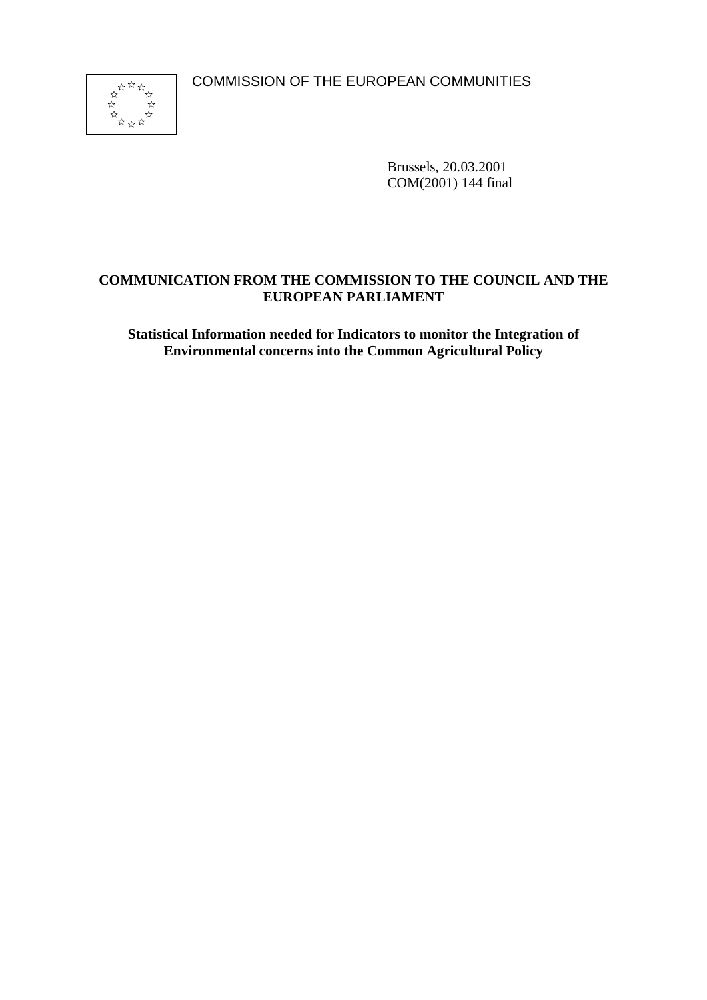COMMISSION OF THE EUROPEAN COMMUNITIES



Brussels, 20.03.2001 COM(2001) 144 final

# **COMMUNICATION FROM THE COMMISSION TO THE COUNCIL AND THE EUROPEAN PARLIAMENT**

**Statistical Information needed for Indicators to monitor the Integration of Environmental concerns into the Common Agricultural Policy**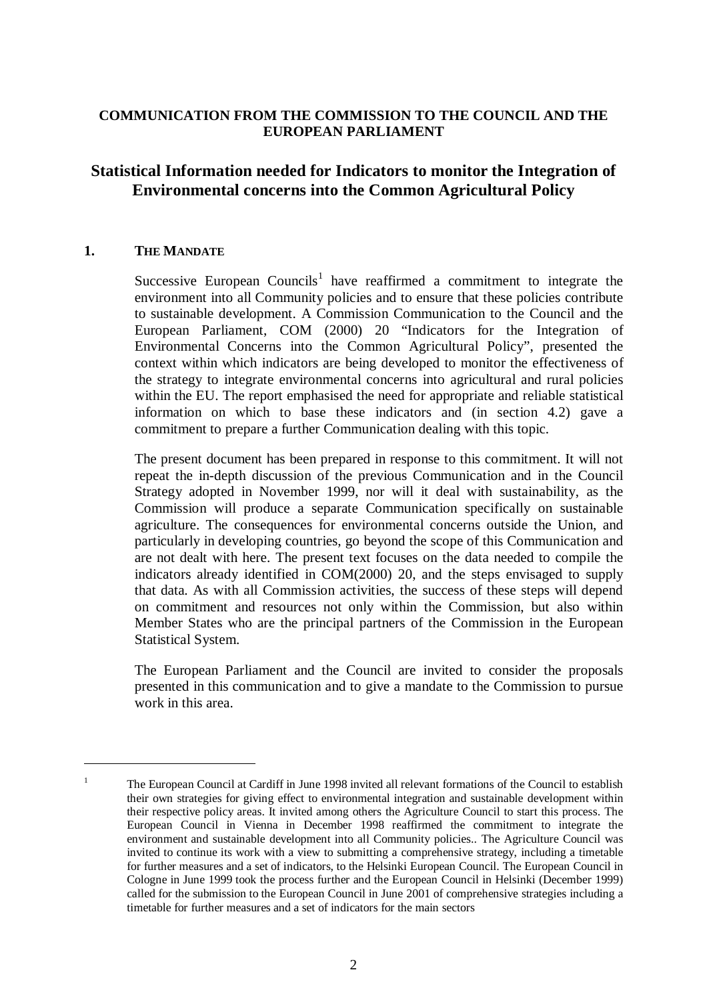## **COMMUNICATION FROM THE COMMISSION TO THE COUNCIL AND THE EUROPEAN PARLIAMENT**

# **Statistical Information needed for Indicators to monitor the Integration of Environmental concerns into the Common Agricultural Policy**

### **1. THE MANDATE**

Successive European Councils<sup>1</sup> have reaffirmed a commitment to integrate the environment into all Community policies and to ensure that these policies contribute to sustainable development. A Commission Communication to the Council and the European Parliament, COM (2000) 20 "Indicators for the Integration of Environmental Concerns into the Common Agricultural Policy", presented the context within which indicators are being developed to monitor the effectiveness of the strategy to integrate environmental concerns into agricultural and rural policies within the EU. The report emphasised the need for appropriate and reliable statistical information on which to base these indicators and (in section 4.2) gave a commitment to prepare a further Communication dealing with this topic.

The present document has been prepared in response to this commitment. It will not repeat the in-depth discussion of the previous Communication and in the Council Strategy adopted in November 1999, nor will it deal with sustainability, as the Commission will produce a separate Communication specifically on sustainable agriculture. The consequences for environmental concerns outside the Union, and particularly in developing countries, go beyond the scope of this Communication and are not dealt with here. The present text focuses on the data needed to compile the indicators already identified in COM(2000) 20, and the steps envisaged to supply that data. As with all Commission activities, the success of these steps will depend on commitment and resources not only within the Commission, but also within Member States who are the principal partners of the Commission in the European Statistical System.

The European Parliament and the Council are invited to consider the proposals presented in this communication and to give a mandate to the Commission to pursue work in this area.

<sup>&</sup>lt;sup>1</sup> The European Council at Cardiff in June 1998 invited all relevant formations of the Council to establish their own strategies for giving effect to environmental integration and sustainable development within their respective policy areas. It invited among others the Agriculture Council to start this process. The European Council in Vienna in December 1998 reaffirmed the commitment to integrate the environment and sustainable development into all Community policies.. The Agriculture Council was invited to continue its work with a view to submitting a comprehensive strategy, including a timetable for further measures and a set of indicators, to the Helsinki European Council. The European Council in Cologne in June 1999 took the process further and the European Council in Helsinki (December 1999) called for the submission to the European Council in June 2001 of comprehensive strategies including a timetable for further measures and a set of indicators for the main sectors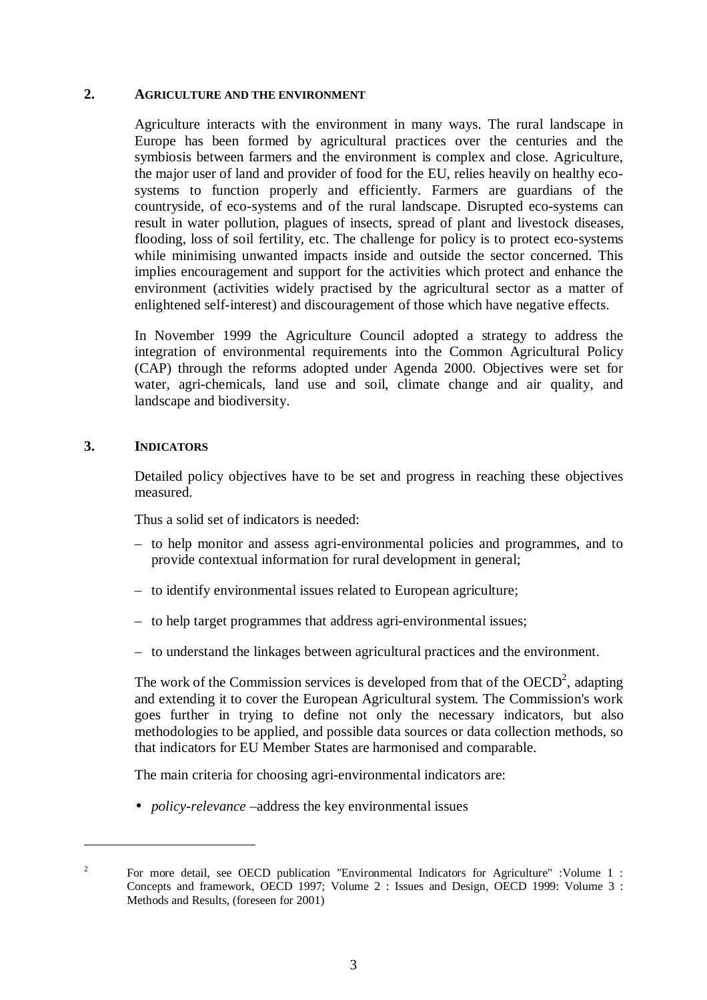### **2. AGRICULTURE AND THE ENVIRONMENT**

Agriculture interacts with the environment in many ways. The rural landscape in Europe has been formed by agricultural practices over the centuries and the symbiosis between farmers and the environment is complex and close. Agriculture, the major user of land and provider of food for the EU, relies heavily on healthy ecosystems to function properly and efficiently. Farmers are guardians of the countryside, of eco-systems and of the rural landscape. Disrupted eco-systems can result in water pollution, plagues of insects, spread of plant and livestock diseases, flooding, loss of soil fertility, etc. The challenge for policy is to protect eco-systems while minimising unwanted impacts inside and outside the sector concerned. This implies encouragement and support for the activities which protect and enhance the environment (activities widely practised by the agricultural sector as a matter of enlightened self-interest) and discouragement of those which have negative effects.

In November 1999 the Agriculture Council adopted a strategy to address the integration of environmental requirements into the Common Agricultural Policy (CAP) through the reforms adopted under Agenda 2000. Objectives were set for water, agri-chemicals, land use and soil, climate change and air quality, and landscape and biodiversity.

### **3. INDICATORS**

Detailed policy objectives have to be set and progress in reaching these objectives measured.

Thus a solid set of indicators is needed:

- to help monitor and assess agri-environmental policies and programmes, and to provide contextual information for rural development in general;
- to identify environmental issues related to European agriculture;
- to help target programmes that address agri-environmental issues;
- to understand the linkages between agricultural practices and the environment.

The work of the Commission services is developed from that of the  $OECD<sup>2</sup>$ , adapting and extending it to cover the European Agricultural system. The Commission's work goes further in trying to define not only the necessary indicators, but also methodologies to be applied, and possible data sources or data collection methods, so that indicators for EU Member States are harmonised and comparable.

The main criteria for choosing agri-environmental indicators are:

• *policy-relevance* –address the key environmental issues

<sup>&</sup>lt;sup>2</sup> For more detail, see OECD publication "Environmental Indicators for Agriculture" :Volume 1 : Concepts and framework, OECD 1997; Volume 2 : Issues and Design, OECD 1999: Volume 3 : Methods and Results, (foreseen for 2001)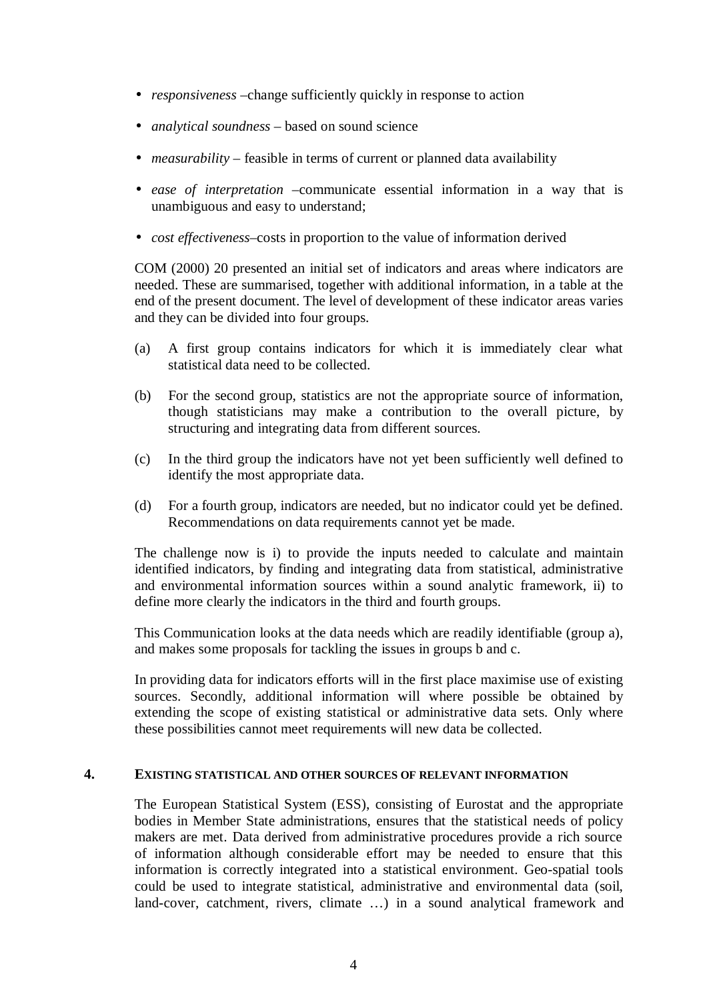- *responsiveness* –change sufficiently quickly in response to action
- *analytical soundness* based on sound science
- *measurability* feasible in terms of current or planned data availability
- *ease of interpretation* –communicate essential information in a way that is unambiguous and easy to understand;
- *cost effectiveness*–costs in proportion to the value of information derived

COM (2000) 20 presented an initial set of indicators and areas where indicators are needed. These are summarised, together with additional information, in a table at the end of the present document. The level of development of these indicator areas varies and they can be divided into four groups.

- (a) A first group contains indicators for which it is immediately clear what statistical data need to be collected.
- (b) For the second group, statistics are not the appropriate source of information, though statisticians may make a contribution to the overall picture, by structuring and integrating data from different sources.
- (c) In the third group the indicators have not yet been sufficiently well defined to identify the most appropriate data.
- (d) For a fourth group, indicators are needed, but no indicator could yet be defined. Recommendations on data requirements cannot yet be made.

The challenge now is i) to provide the inputs needed to calculate and maintain identified indicators, by finding and integrating data from statistical, administrative and environmental information sources within a sound analytic framework, ii) to define more clearly the indicators in the third and fourth groups.

This Communication looks at the data needs which are readily identifiable (group a), and makes some proposals for tackling the issues in groups b and c.

In providing data for indicators efforts will in the first place maximise use of existing sources. Secondly, additional information will where possible be obtained by extending the scope of existing statistical or administrative data sets. Only where these possibilities cannot meet requirements will new data be collected.

### **4. EXISTING STATISTICAL AND OTHER SOURCES OF RELEVANT INFORMATION**

The European Statistical System (ESS), consisting of Eurostat and the appropriate bodies in Member State administrations, ensures that the statistical needs of policy makers are met. Data derived from administrative procedures provide a rich source of information although considerable effort may be needed to ensure that this information is correctly integrated into a statistical environment. Geo-spatial tools could be used to integrate statistical, administrative and environmental data (soil, land-cover, catchment, rivers, climate …) in a sound analytical framework and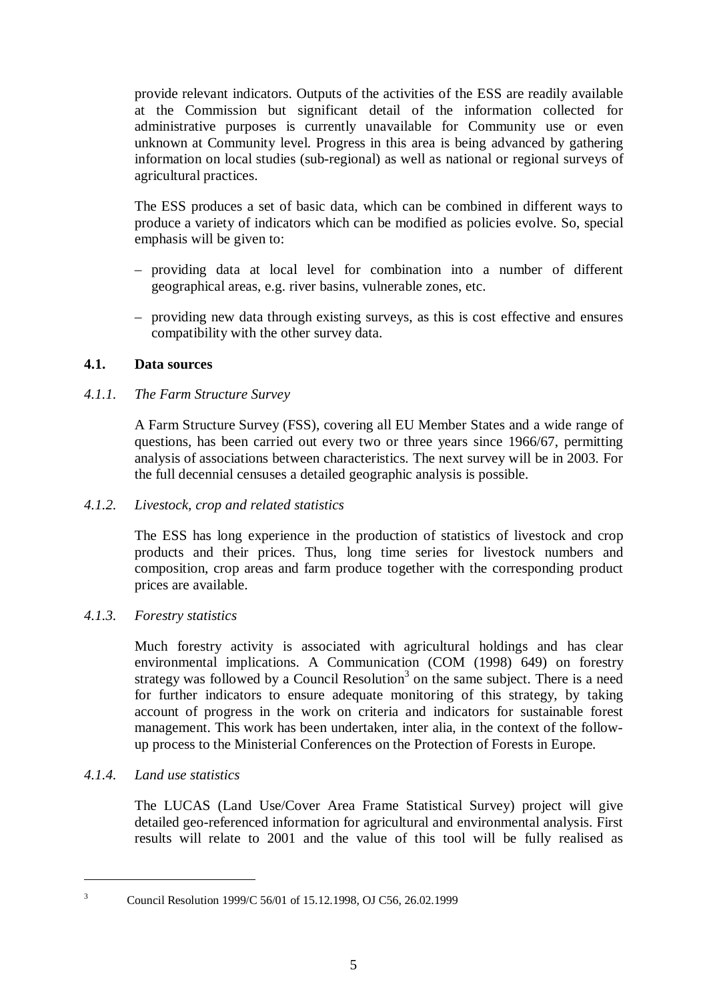provide relevant indicators. Outputs of the activities of the ESS are readily available at the Commission but significant detail of the information collected for administrative purposes is currently unavailable for Community use or even unknown at Community level. Progress in this area is being advanced by gathering information on local studies (sub-regional) as well as national or regional surveys of agricultural practices.

The ESS produces a set of basic data, which can be combined in different ways to produce a variety of indicators which can be modified as policies evolve. So, special emphasis will be given to:

- providing data at local level for combination into a number of different geographical areas, e.g. river basins, vulnerable zones, etc.
- providing new data through existing surveys, as this is cost effective and ensures compatibility with the other survey data.

### **4.1. Data sources**

### *4.1.1. The Farm Structure Survey*

A Farm Structure Survey (FSS), covering all EU Member States and a wide range of questions, has been carried out every two or three years since 1966/67, permitting analysis of associations between characteristics. The next survey will be in 2003. For the full decennial censuses a detailed geographic analysis is possible.

### *4.1.2. Livestock, crop and related statistics*

The ESS has long experience in the production of statistics of livestock and crop products and their prices. Thus, long time series for livestock numbers and composition, crop areas and farm produce together with the corresponding product prices are available.

### *4.1.3. Forestry statistics*

Much forestry activity is associated with agricultural holdings and has clear environmental implications. A Communication (COM (1998) 649) on forestry strategy was followed by a Council Resolution<sup>3</sup> on the same subject. There is a need for further indicators to ensure adequate monitoring of this strategy, by taking account of progress in the work on criteria and indicators for sustainable forest management. This work has been undertaken, inter alia, in the context of the followup process to the Ministerial Conferences on the Protection of Forests in Europe.

### *4.1.4. Land use statistics*

The LUCAS (Land Use/Cover Area Frame Statistical Survey) project will give detailed geo-referenced information for agricultural and environmental analysis. First results will relate to 2001 and the value of this tool will be fully realised as

<sup>3</sup> Council Resolution 1999/C 56/01 of 15.12.1998, OJ C56, 26.02.1999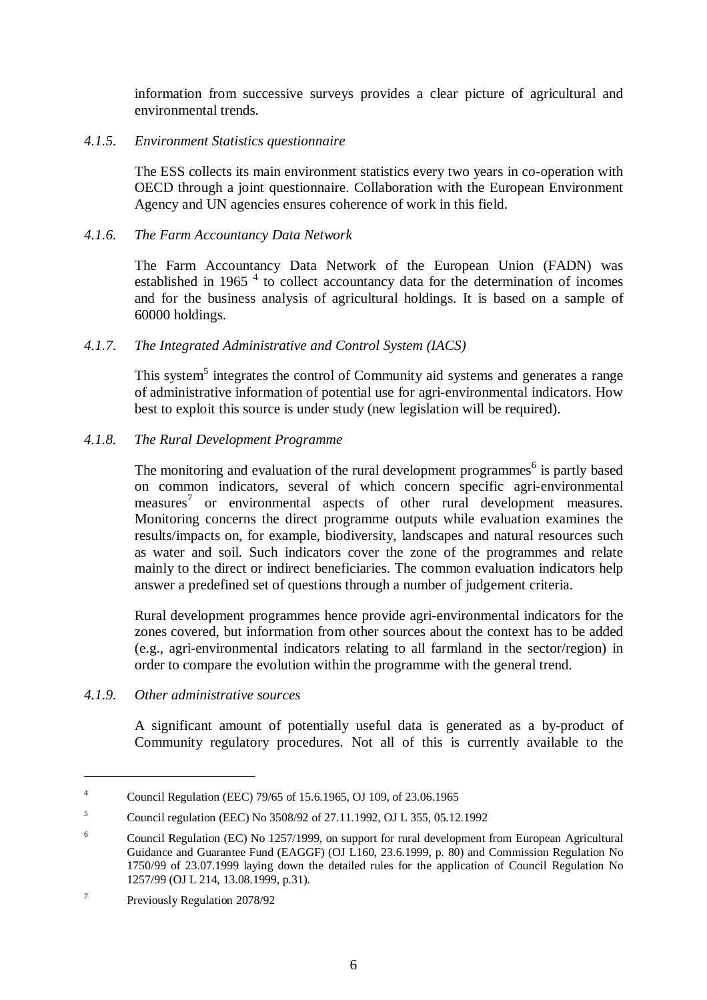information from successive surveys provides a clear picture of agricultural and environmental trends.

### *4.1.5. Environment Statistics questionnaire*

The ESS collects its main environment statistics every two years in co-operation with OECD through a joint questionnaire. Collaboration with the European Environment Agency and UN agencies ensures coherence of work in this field.

## *4.1.6. The Farm Accountancy Data Network*

The Farm Accountancy Data Network of the European Union (FADN) was established in 1965 $<sup>4</sup>$  to collect accountancy data for the determination of incomes</sup> and for the business analysis of agricultural holdings. It is based on a sample of 60000 holdings.

## *4.1.7. The Integrated Administrative and Control System (IACS)*

This system<sup>5</sup> integrates the control of Community aid systems and generates a range of administrative information of potential use for agri-environmental indicators. How best to exploit this source is under study (new legislation will be required).

## *4.1.8. The Rural Development Programme*

The monitoring and evaluation of the rural development programmes<sup> $6$ </sup> is partly based on common indicators, several of which concern specific agri-environmental measures<sup>7</sup> or environmental aspects of other rural development measures. Monitoring concerns the direct programme outputs while evaluation examines the results/impacts on, for example, biodiversity, landscapes and natural resources such as water and soil. Such indicators cover the zone of the programmes and relate mainly to the direct or indirect beneficiaries. The common evaluation indicators help answer a predefined set of questions through a number of judgement criteria.

Rural development programmes hence provide agri-environmental indicators for the zones covered, but information from other sources about the context has to be added (e.g., agri-environmental indicators relating to all farmland in the sector/region) in order to compare the evolution within the programme with the general trend.

## *4.1.9. Other administrative sources*

A significant amount of potentially useful data is generated as a by-product of Community regulatory procedures. Not all of this is currently available to the

<sup>4</sup> Council Regulation (EEC) 79/65 of 15.6.1965, OJ 109, of 23.06.1965

<sup>5</sup> Council regulation (EEC) No 3508/92 of 27.11.1992, OJ L 355, 05.12.1992

<sup>6</sup> Council Regulation (EC) No 1257/1999, on support for rural development from European Agricultural Guidance and Guarantee Fund (EAGGF) (OJ L160, 23.6.1999, p. 80) and Commission Regulation No 1750/99 of 23.07.1999 laying down the detailed rules for the application of Council Regulation No 1257/99 (OJ L 214, 13.08.1999, p.31).

<sup>7</sup> Previously Regulation 2078/92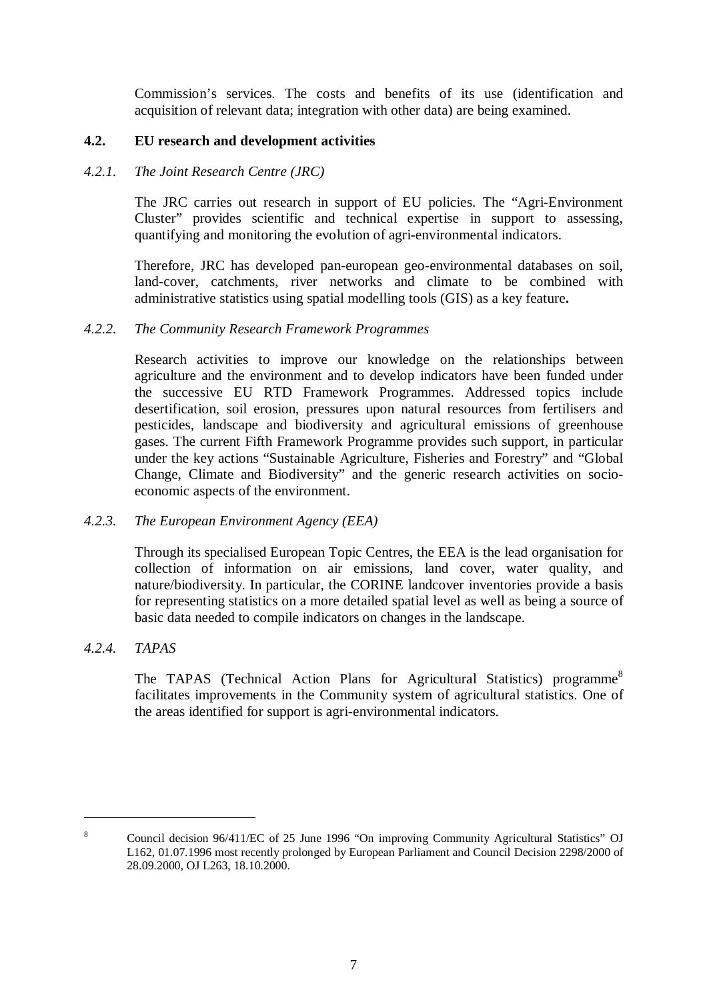Commission's services. The costs and benefits of its use (identification and acquisition of relevant data; integration with other data) are being examined.

### **4.2. EU research and development activities**

### *4.2.1. The Joint Research Centre (JRC)*

The JRC carries out research in support of EU policies. The "Agri-Environment Cluster" provides scientific and technical expertise in support to assessing, quantifying and monitoring the evolution of agri-environmental indicators.

Therefore, JRC has developed pan-european geo-environmental databases on soil, land-cover, catchments, river networks and climate to be combined with administrative statistics using spatial modelling tools (GIS) as a key feature**.**

### *4.2.2. The Community Research Framework Programmes*

Research activities to improve our knowledge on the relationships between agriculture and the environment and to develop indicators have been funded under the successive EU RTD Framework Programmes. Addressed topics include desertification, soil erosion, pressures upon natural resources from fertilisers and pesticides, landscape and biodiversity and agricultural emissions of greenhouse gases. The current Fifth Framework Programme provides such support, in particular under the key actions "Sustainable Agriculture, Fisheries and Forestry" and "Global Change, Climate and Biodiversity" and the generic research activities on socioeconomic aspects of the environment.

### *4.2.3. The European Environment Agency (EEA)*

Through its specialised European Topic Centres, the EEA is the lead organisation for collection of information on air emissions, land cover, water quality, and nature/biodiversity. In particular, the CORINE landcover inventories provide a basis for representing statistics on a more detailed spatial level as well as being a source of basic data needed to compile indicators on changes in the landscape.

### *4.2.4. TAPAS*

The TAPAS (Technical Action Plans for Agricultural Statistics) programme<sup>8</sup> facilitates improvements in the Community system of agricultural statistics. One of the areas identified for support is agri-environmental indicators.

<sup>&</sup>lt;sup>8</sup> Council decision 96/411/EC of 25 June 1996 "On improving Community Agricultural Statistics" OJ L162, 01.07.1996 most recently prolonged by European Parliament and Council Decision 2298/2000 of 28.09.2000, OJ L263, 18.10.2000.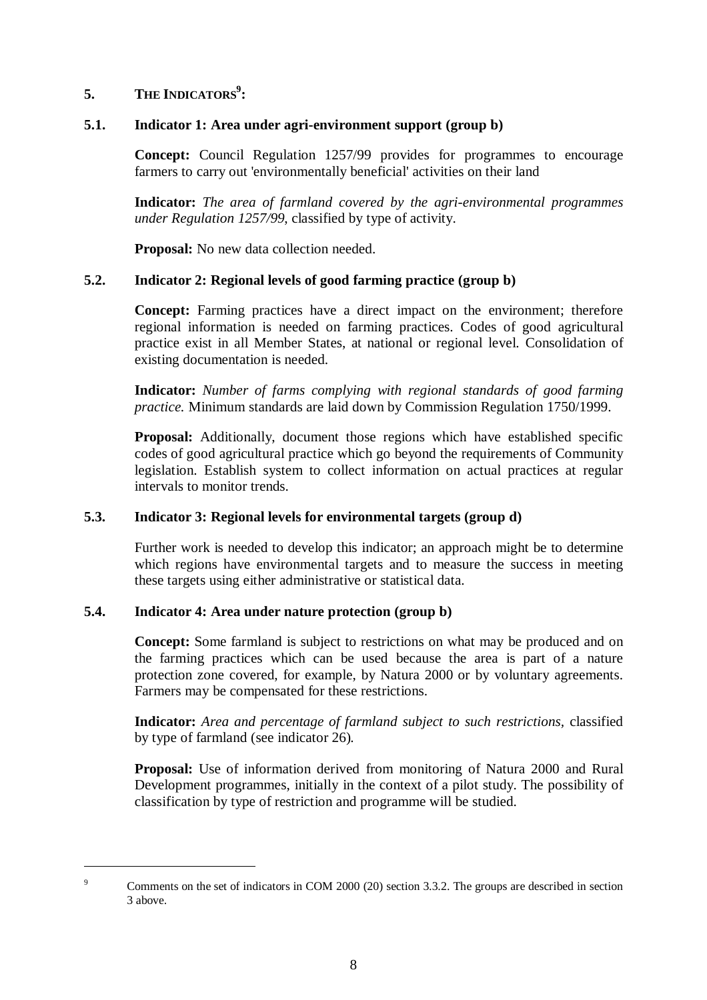# **5.** THE INDICATORS<sup>9</sup>:

### **5.1. Indicator 1: Area under agri-environment support (group b)**

**Concept:** Council Regulation 1257/99 provides for programmes to encourage farmers to carry out 'environmentally beneficial' activities on their land

**Indicator:** *The area of farmland covered by the agri-environmental programmes under Regulation 1257/99*, classified by type of activity.

**Proposal:** No new data collection needed.

## **5.2. Indicator 2: Regional levels of good farming practice (group b)**

**Concept:** Farming practices have a direct impact on the environment; therefore regional information is needed on farming practices. Codes of good agricultural practice exist in all Member States, at national or regional level. Consolidation of existing documentation is needed.

**Indicator:** *Number of farms complying with regional standards of good farming practice.* Minimum standards are laid down by Commission Regulation 1750/1999.

**Proposal:** Additionally, document those regions which have established specific codes of good agricultural practice which go beyond the requirements of Community legislation. Establish system to collect information on actual practices at regular intervals to monitor trends.

### **5.3. Indicator 3: Regional levels for environmental targets (group d)**

Further work is needed to develop this indicator; an approach might be to determine which regions have environmental targets and to measure the success in meeting these targets using either administrative or statistical data.

## **5.4. Indicator 4: Area under nature protection (group b)**

**Concept:** Some farmland is subject to restrictions on what may be produced and on the farming practices which can be used because the area is part of a nature protection zone covered, for example, by Natura 2000 or by voluntary agreements. Farmers may be compensated for these restrictions.

**Indicator:** *Area and percentage of farmland subject to such restrictions,* classified by type of farmland (see indicator 26)*.*

**Proposal:** Use of information derived from monitoring of Natura 2000 and Rural Development programmes, initially in the context of a pilot study. The possibility of classification by type of restriction and programme will be studied.

<sup>&</sup>lt;sup>9</sup> Comments on the set of indicators in COM 2000 (20) section 3.3.2. The groups are described in section 3 above.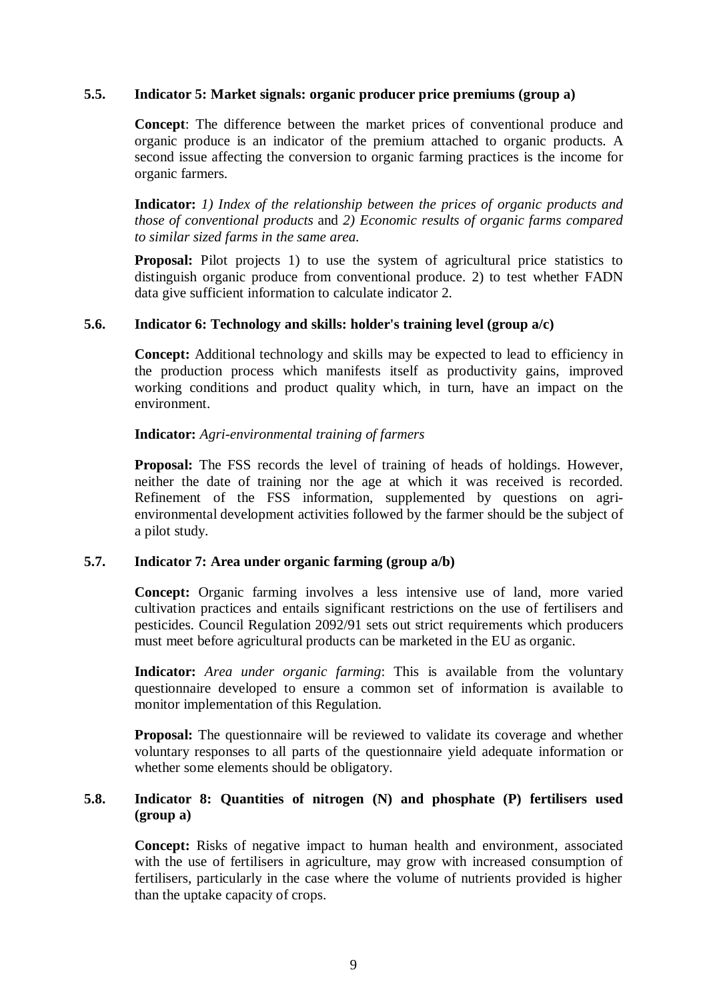## **5.5. Indicator 5: Market signals: organic producer price premiums (group a)**

**Concept**: The difference between the market prices of conventional produce and organic produce is an indicator of the premium attached to organic products. A second issue affecting the conversion to organic farming practices is the income for organic farmers.

**Indicator:** *1) Index of the relationship between the prices of organic products and those of conventional products* and *2) Economic results of organic farms compared to similar sized farms in the same area.*

**Proposal:** Pilot projects 1) to use the system of agricultural price statistics to distinguish organic produce from conventional produce. 2) to test whether FADN data give sufficient information to calculate indicator 2.

### **5.6. Indicator 6: Technology and skills: holder's training level (group a/c)**

**Concept:** Additional technology and skills may be expected to lead to efficiency in the production process which manifests itself as productivity gains, improved working conditions and product quality which, in turn, have an impact on the environment.

### **Indicator:** *Agri-environmental training of farmers*

**Proposal:** The FSS records the level of training of heads of holdings. However, neither the date of training nor the age at which it was received is recorded. Refinement of the FSS information, supplemented by questions on agrienvironmental development activities followed by the farmer should be the subject of a pilot study.

### **5.7. Indicator 7: Area under organic farming (group a/b)**

**Concept:** Organic farming involves a less intensive use of land, more varied cultivation practices and entails significant restrictions on the use of fertilisers and pesticides. Council Regulation 2092/91 sets out strict requirements which producers must meet before agricultural products can be marketed in the EU as organic.

**Indicator:** *Area under organic farming*: This is available from the voluntary questionnaire developed to ensure a common set of information is available to monitor implementation of this Regulation.

**Proposal:** The questionnaire will be reviewed to validate its coverage and whether voluntary responses to all parts of the questionnaire yield adequate information or whether some elements should be obligatory.

## **5.8. Indicator 8: Quantities of nitrogen (N) and phosphate (P) fertilisers used (group a)**

**Concept:** Risks of negative impact to human health and environment, associated with the use of fertilisers in agriculture, may grow with increased consumption of fertilisers, particularly in the case where the volume of nutrients provided is higher than the uptake capacity of crops.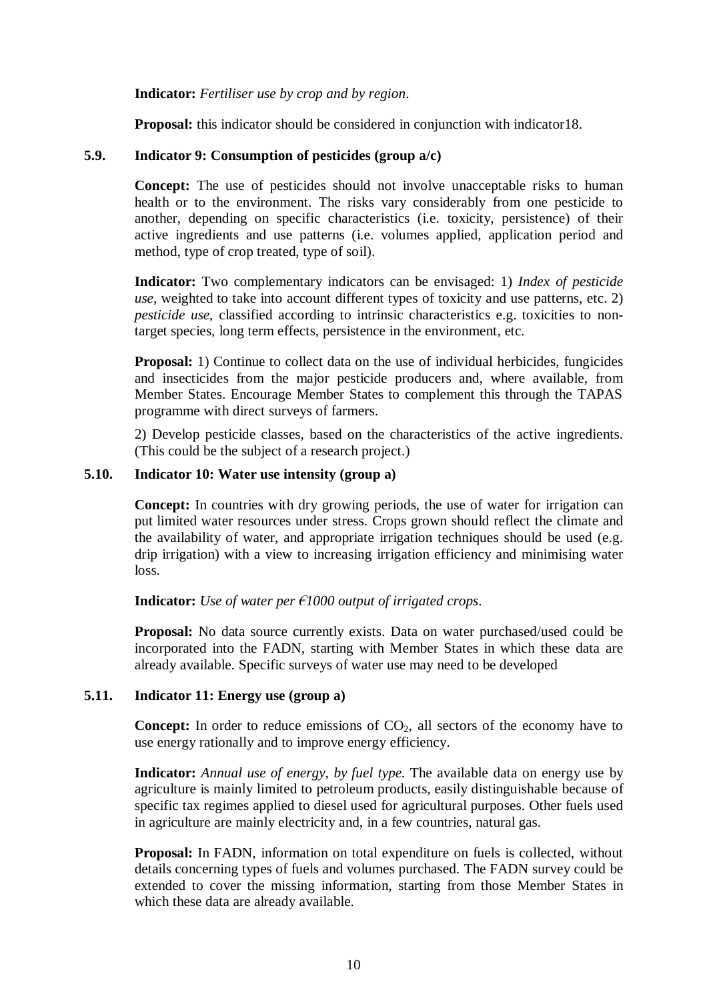**Indicator:** *Fertiliser use by crop and by region*.

**Proposal:** this indicator should be considered in conjunction with indicator18.

## **5.9. Indicator 9: Consumption of pesticides (group a/c)**

**Concept:** The use of pesticides should not involve unacceptable risks to human health or to the environment. The risks vary considerably from one pesticide to another, depending on specific characteristics (i.e. toxicity, persistence) of their active ingredients and use patterns (i.e. volumes applied, application period and method, type of crop treated, type of soil).

**Indicator:** Two complementary indicators can be envisaged: 1) *Index of pesticide use*, weighted to take into account different types of toxicity and use patterns, etc. 2) *pesticide use*, classified according to intrinsic characteristics e.g. toxicities to nontarget species, long term effects, persistence in the environment, etc.

**Proposal:** 1) Continue to collect data on the use of individual herbicides, fungicides and insecticides from the major pesticide producers and, where available, from Member States. Encourage Member States to complement this through the TAPAS programme with direct surveys of farmers.

2) Develop pesticide classes, based on the characteristics of the active ingredients. (This could be the subject of a research project.)

## **5.10. Indicator 10: Water use intensity (group a)**

**Concept:** In countries with dry growing periods, the use of water for irrigation can put limited water resources under stress. Crops grown should reflect the climate and the availability of water, and appropriate irrigation techniques should be used (e.g. drip irrigation) with a view to increasing irrigation efficiency and minimising water loss.

**Indicator:** *Use of water per*  $\epsilon$ 1000 *output of irrigated crops.* 

**Proposal:** No data source currently exists. Data on water purchased/used could be incorporated into the FADN, starting with Member States in which these data are already available. Specific surveys of water use may need to be developed

## **5.11. Indicator 11: Energy use (group a)**

**Concept:** In order to reduce emissions of  $CO<sub>2</sub>$ , all sectors of the economy have to use energy rationally and to improve energy efficiency.

**Indicator:** *Annual use of energy, by fuel type*. The available data on energy use by agriculture is mainly limited to petroleum products, easily distinguishable because of specific tax regimes applied to diesel used for agricultural purposes. Other fuels used in agriculture are mainly electricity and, in a few countries, natural gas.

**Proposal:** In FADN, information on total expenditure on fuels is collected, without details concerning types of fuels and volumes purchased. The FADN survey could be extended to cover the missing information, starting from those Member States in which these data are already available.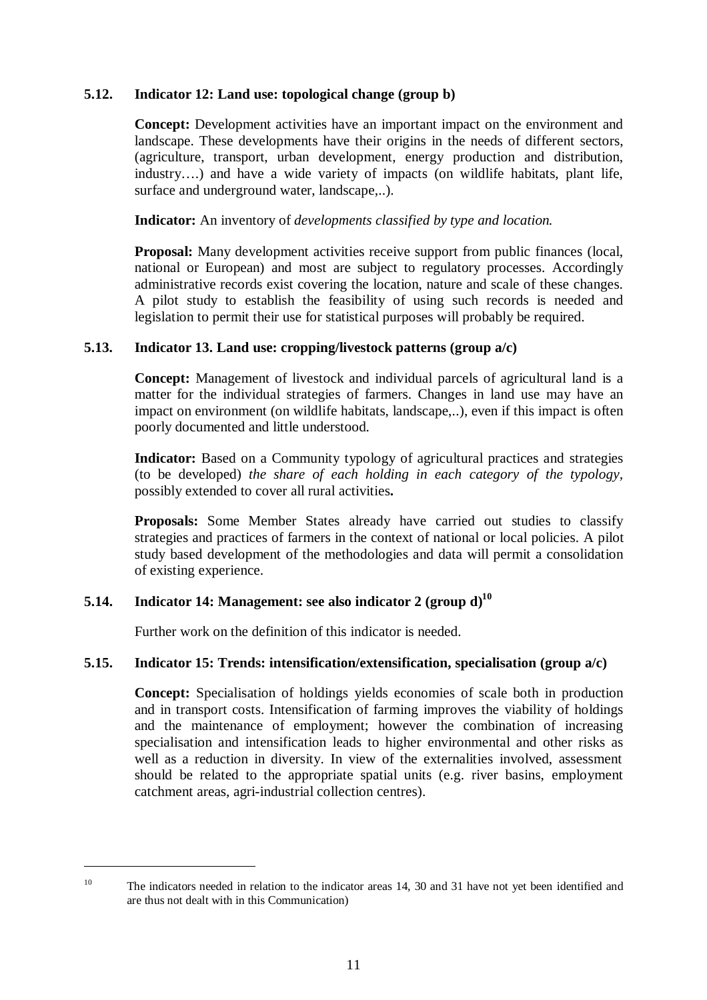## **5.12. Indicator 12: Land use: topological change (group b)**

**Concept:** Development activities have an important impact on the environment and landscape. These developments have their origins in the needs of different sectors, (agriculture, transport, urban development, energy production and distribution, industry….) and have a wide variety of impacts (on wildlife habitats, plant life, surface and underground water, landscape,..).

**Indicator:** An inventory of *developments classified by type and location.*

**Proposal:** Many development activities receive support from public finances (local, national or European) and most are subject to regulatory processes. Accordingly administrative records exist covering the location, nature and scale of these changes. A pilot study to establish the feasibility of using such records is needed and legislation to permit their use for statistical purposes will probably be required.

## **5.13. Indicator 13. Land use: cropping/livestock patterns (group a/c)**

**Concept:** Management of livestock and individual parcels of agricultural land is a matter for the individual strategies of farmers. Changes in land use may have an impact on environment (on wildlife habitats, landscape,..), even if this impact is often poorly documented and little understood.

**Indicator:** Based on a Community typology of agricultural practices and strategies (to be developed) *the share of each holding in each category of the typology,* possibly extended to cover all rural activities**.**

**Proposals:** Some Member States already have carried out studies to classify strategies and practices of farmers in the context of national or local policies. A pilot study based development of the methodologies and data will permit a consolidation of existing experience.

# **5.14.** Indicator 14: Management: see also indicator 2 (group d)<sup>10</sup>

Further work on the definition of this indicator is needed.

## **5.15. Indicator 15: Trends: intensification/extensification, specialisation (group a/c)**

**Concept:** Specialisation of holdings yields economies of scale both in production and in transport costs. Intensification of farming improves the viability of holdings and the maintenance of employment; however the combination of increasing specialisation and intensification leads to higher environmental and other risks as well as a reduction in diversity. In view of the externalities involved, assessment should be related to the appropriate spatial units (e.g. river basins, employment catchment areas, agri-industrial collection centres).

<sup>&</sup>lt;sup>10</sup> The indicators needed in relation to the indicator areas 14, 30 and 31 have not yet been identified and are thus not dealt with in this Communication)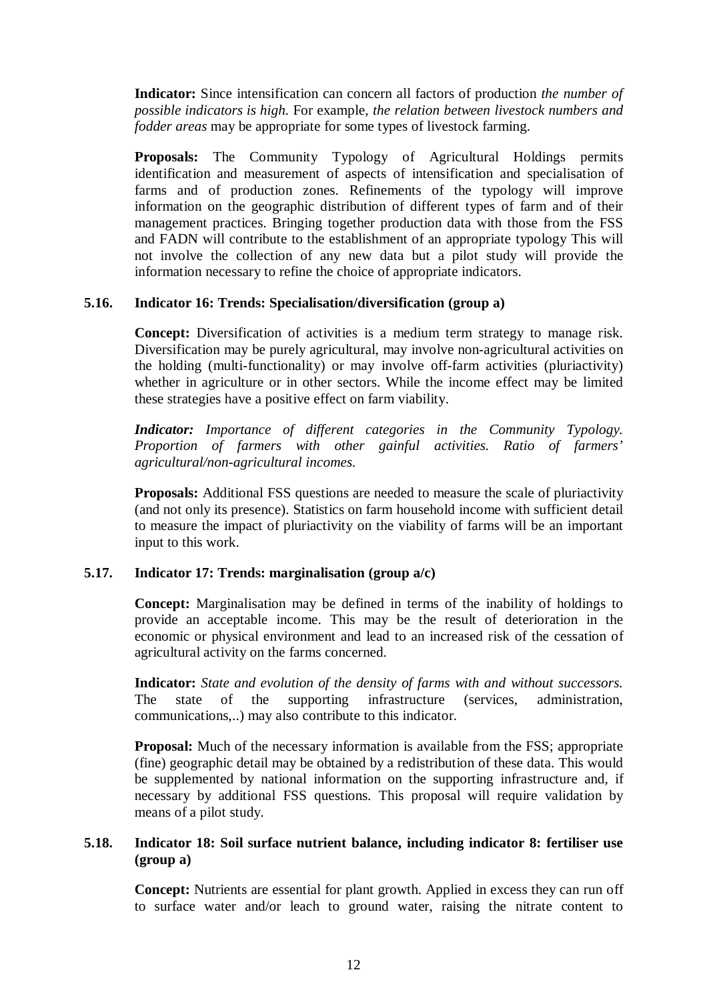**Indicator:** Since intensification can concern all factors of production *the number of possible indicators is high.* For example, *the relation between livestock numbers and fodder areas* may be appropriate for some types of livestock farming.

**Proposals:** The Community Typology of Agricultural Holdings permits identification and measurement of aspects of intensification and specialisation of farms and of production zones. Refinements of the typology will improve information on the geographic distribution of different types of farm and of their management practices. Bringing together production data with those from the FSS and FADN will contribute to the establishment of an appropriate typology This will not involve the collection of any new data but a pilot study will provide the information necessary to refine the choice of appropriate indicators.

### **5.16. Indicator 16: Trends: Specialisation/diversification (group a)**

**Concept:** Diversification of activities is a medium term strategy to manage risk. Diversification may be purely agricultural, may involve non-agricultural activities on the holding (multi-functionality) or may involve off-farm activities (pluriactivity) whether in agriculture or in other sectors. While the income effect may be limited these strategies have a positive effect on farm viability.

*Indicator: Importance of different categories in the Community Typology. Proportion of farmers with other gainful activities. Ratio of farmers' agricultural/non-agricultural incomes.*

**Proposals:** Additional FSS questions are needed to measure the scale of pluriactivity (and not only its presence). Statistics on farm household income with sufficient detail to measure the impact of pluriactivity on the viability of farms will be an important input to this work.

## **5.17. Indicator 17: Trends: marginalisation (group a/c)**

**Concept:** Marginalisation may be defined in terms of the inability of holdings to provide an acceptable income. This may be the result of deterioration in the economic or physical environment and lead to an increased risk of the cessation of agricultural activity on the farms concerned.

**Indicator:** *State and evolution of the density of farms with and without successors.* The state of the supporting infrastructure (services, administration, communications,..) may also contribute to this indicator.

**Proposal:** Much of the necessary information is available from the FSS; appropriate (fine) geographic detail may be obtained by a redistribution of these data. This would be supplemented by national information on the supporting infrastructure and, if necessary by additional FSS questions. This proposal will require validation by means of a pilot study.

## **5.18. Indicator 18: Soil surface nutrient balance, including indicator 8: fertiliser use (group a)**

**Concept:** Nutrients are essential for plant growth. Applied in excess they can run off to surface water and/or leach to ground water, raising the nitrate content to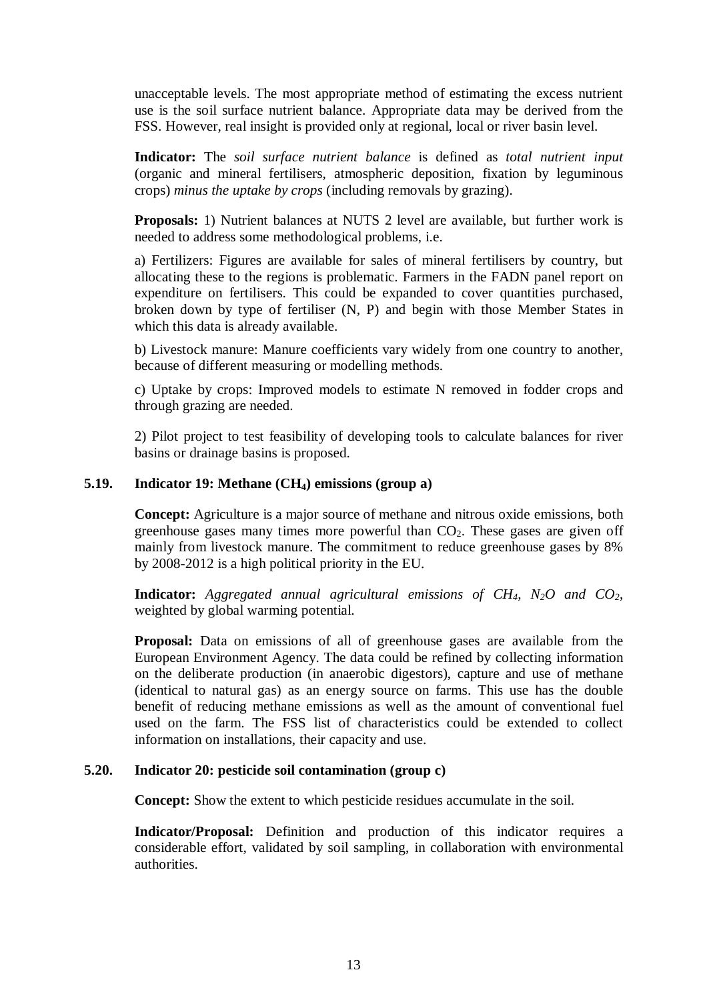unacceptable levels. The most appropriate method of estimating the excess nutrient use is the soil surface nutrient balance. Appropriate data may be derived from the FSS. However, real insight is provided only at regional, local or river basin level.

**Indicator:** The *soil surface nutrient balance* is defined as *total nutrient input* (organic and mineral fertilisers, atmospheric deposition, fixation by leguminous crops) *minus the uptake by crops* (including removals by grazing).

**Proposals:** 1) Nutrient balances at NUTS 2 level are available, but further work is needed to address some methodological problems, i.e.

a) Fertilizers: Figures are available for sales of mineral fertilisers by country, but allocating these to the regions is problematic. Farmers in the FADN panel report on expenditure on fertilisers. This could be expanded to cover quantities purchased, broken down by type of fertiliser (N, P) and begin with those Member States in which this data is already available.

b) Livestock manure: Manure coefficients vary widely from one country to another, because of different measuring or modelling methods.

c) Uptake by crops: Improved models to estimate N removed in fodder crops and through grazing are needed.

2) Pilot project to test feasibility of developing tools to calculate balances for river basins or drainage basins is proposed.

### **5.19. Indicator 19: Methane (CH4) emissions (group a)**

**Concept:** Agriculture is a major source of methane and nitrous oxide emissions, both greenhouse gases many times more powerful than  $CO<sub>2</sub>$ . These gases are given off mainly from livestock manure. The commitment to reduce greenhouse gases by 8% by 2008-2012 is a high political priority in the EU.

**Indicator:** *Aggregated annual agricultural emissions of CH4, N2O and CO2*, weighted by global warming potential.

**Proposal:** Data on emissions of all of greenhouse gases are available from the European Environment Agency. The data could be refined by collecting information on the deliberate production (in anaerobic digestors), capture and use of methane (identical to natural gas) as an energy source on farms. This use has the double benefit of reducing methane emissions as well as the amount of conventional fuel used on the farm. The FSS list of characteristics could be extended to collect information on installations, their capacity and use.

### **5.20. Indicator 20: pesticide soil contamination (group c)**

**Concept:** Show the extent to which pesticide residues accumulate in the soil.

**Indicator/Proposal:** Definition and production of this indicator requires a considerable effort, validated by soil sampling, in collaboration with environmental authorities.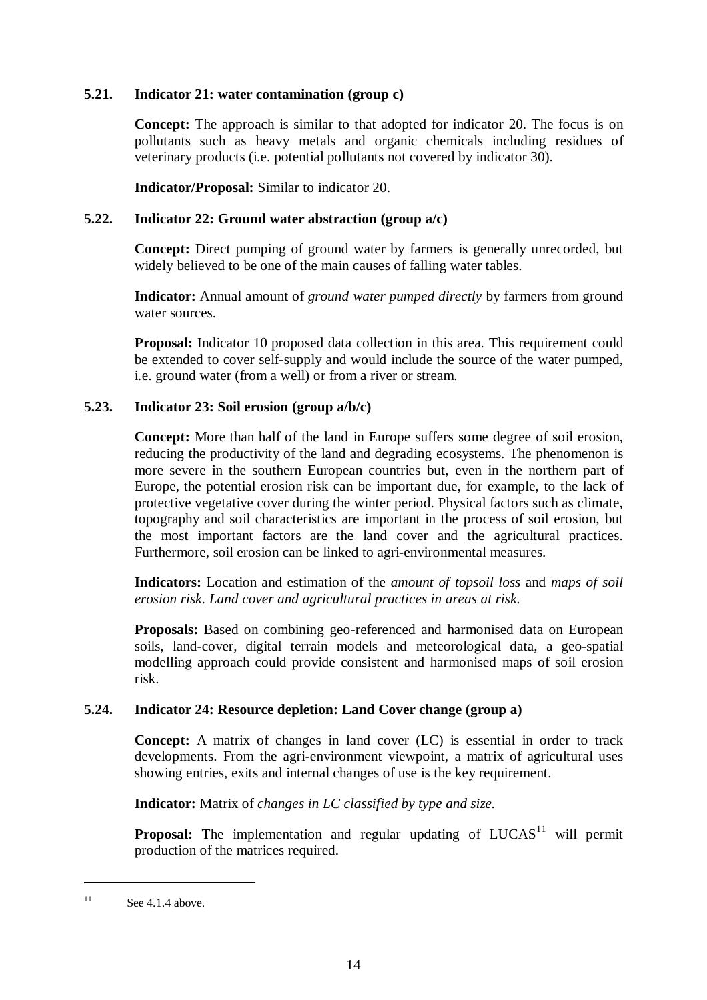## **5.21. Indicator 21: water contamination (group c)**

**Concept:** The approach is similar to that adopted for indicator 20. The focus is on pollutants such as heavy metals and organic chemicals including residues of veterinary products (i.e. potential pollutants not covered by indicator 30).

**Indicator/Proposal:** Similar to indicator 20.

## **5.22. Indicator 22: Ground water abstraction (group a/c)**

**Concept:** Direct pumping of ground water by farmers is generally unrecorded, but widely believed to be one of the main causes of falling water tables.

**Indicator:** Annual amount of *ground water pumped directly* by farmers from ground water sources.

**Proposal:** Indicator 10 proposed data collection in this area. This requirement could be extended to cover self-supply and would include the source of the water pumped, i.e. ground water (from a well) or from a river or stream.

## **5.23. Indicator 23: Soil erosion (group a/b/c)**

**Concept:** More than half of the land in Europe suffers some degree of soil erosion, reducing the productivity of the land and degrading ecosystems. The phenomenon is more severe in the southern European countries but, even in the northern part of Europe, the potential erosion risk can be important due, for example, to the lack of protective vegetative cover during the winter period. Physical factors such as climate, topography and soil characteristics are important in the process of soil erosion, but the most important factors are the land cover and the agricultural practices. Furthermore, soil erosion can be linked to agri-environmental measures.

**Indicators:** Location and estimation of the *amount of topsoil loss* and *maps of soil erosion risk*. *Land cover and agricultural practices in areas at risk*.

**Proposals:** Based on combining geo-referenced and harmonised data on European soils, land-cover, digital terrain models and meteorological data, a geo-spatial modelling approach could provide consistent and harmonised maps of soil erosion risk.

### **5.24. Indicator 24: Resource depletion: Land Cover change (group a)**

**Concept:** A matrix of changes in land cover (LC) is essential in order to track developments. From the agri-environment viewpoint, a matrix of agricultural uses showing entries, exits and internal changes of use is the key requirement.

**Indicator:** Matrix of *changes in LC classified by type and size.*

**Proposal:** The implementation and regular updating of LUCAS<sup>11</sup> will permit production of the matrices required.

 $11$  See 4.1.4 above.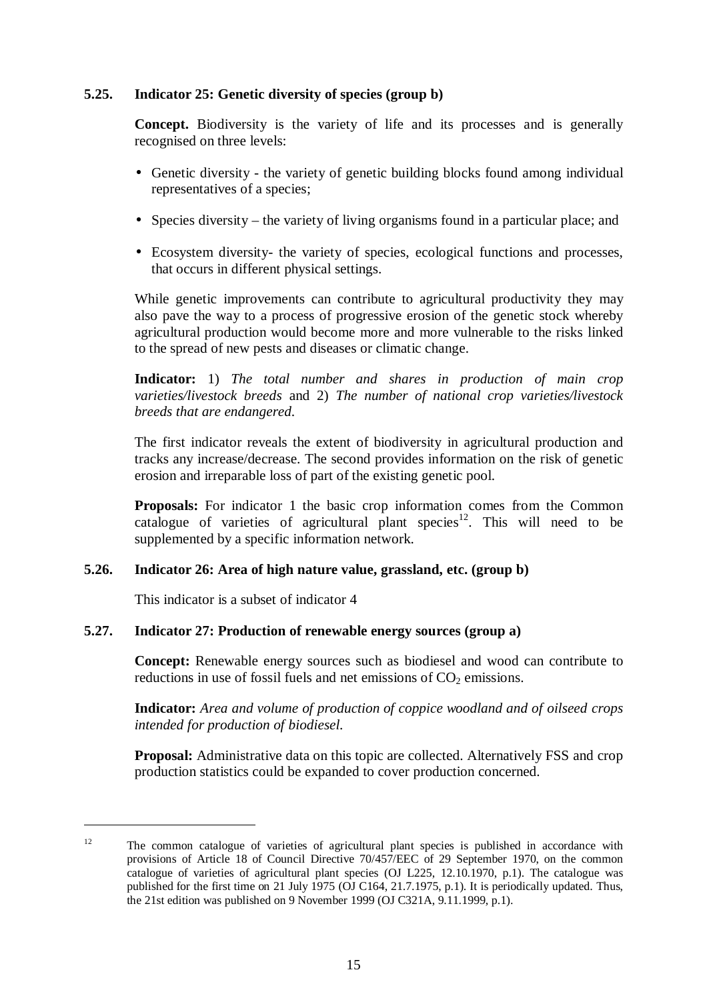## **5.25. Indicator 25: Genetic diversity of species (group b)**

**Concept.** Biodiversity is the variety of life and its processes and is generally recognised on three levels:

- Genetic diversity the variety of genetic building blocks found among individual representatives of a species;
- Species diversity the variety of living organisms found in a particular place; and
- Ecosystem diversity- the variety of species, ecological functions and processes, that occurs in different physical settings.

While genetic improvements can contribute to agricultural productivity they may also pave the way to a process of progressive erosion of the genetic stock whereby agricultural production would become more and more vulnerable to the risks linked to the spread of new pests and diseases or climatic change.

**Indicator:** 1) *The total number and shares in production of main crop varieties/livestock breeds* and 2) *The number of national crop varieties/livestock breeds that are endangered*.

The first indicator reveals the extent of biodiversity in agricultural production and tracks any increase/decrease. The second provides information on the risk of genetic erosion and irreparable loss of part of the existing genetic pool.

**Proposals:** For indicator 1 the basic crop information comes from the Common catalogue of varieties of agricultural plant species<sup>12</sup>. This will need to be supplemented by a specific information network.

### **5.26. Indicator 26: Area of high nature value, grassland, etc. (group b)**

This indicator is a subset of indicator 4

### **5.27. Indicator 27: Production of renewable energy sources (group a)**

**Concept:** Renewable energy sources such as biodiesel and wood can contribute to reductions in use of fossil fuels and net emissions of  $CO<sub>2</sub>$  emissions.

**Indicator:** *Area and volume of production of coppice woodland and of oilseed crops intended for production of biodiesel.*

**Proposal:** Administrative data on this topic are collected. Alternatively FSS and crop production statistics could be expanded to cover production concerned.

<sup>&</sup>lt;sup>12</sup> The common catalogue of varieties of agricultural plant species is published in accordance with provisions of Article 18 of Council Directive 70/457/EEC of 29 September 1970, on the common catalogue of varieties of agricultural plant species (OJ L225, 12.10.1970, p.1). The catalogue was published for the first time on 21 July 1975 (OJ C164, 21.7.1975, p.1). It is periodically updated. Thus, the 21st edition was published on 9 November 1999 (OJ C321A, 9.11.1999, p.1).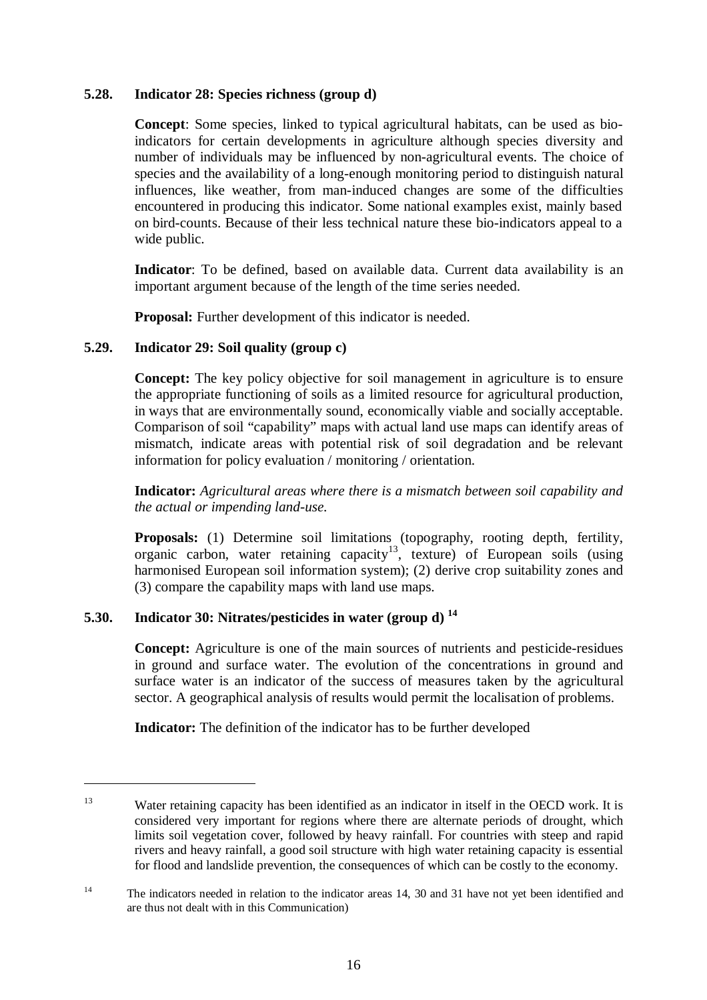## **5.28. Indicator 28: Species richness (group d)**

**Concept**: Some species, linked to typical agricultural habitats, can be used as bioindicators for certain developments in agriculture although species diversity and number of individuals may be influenced by non-agricultural events. The choice of species and the availability of a long-enough monitoring period to distinguish natural influences, like weather, from man-induced changes are some of the difficulties encountered in producing this indicator. Some national examples exist, mainly based on bird-counts. Because of their less technical nature these bio-indicators appeal to a wide public.

**Indicator**: To be defined, based on available data. Current data availability is an important argument because of the length of the time series needed.

**Proposal:** Further development of this indicator is needed.

## **5.29. Indicator 29: Soil quality (group c)**

**Concept:** The key policy objective for soil management in agriculture is to ensure the appropriate functioning of soils as a limited resource for agricultural production, in ways that are environmentally sound, economically viable and socially acceptable. Comparison of soil "capability" maps with actual land use maps can identify areas of mismatch, indicate areas with potential risk of soil degradation and be relevant information for policy evaluation / monitoring / orientation.

**Indicator:** *Agricultural areas where there is a mismatch between soil capability and the actual or impending land-use.*

**Proposals:** (1) Determine soil limitations (topography, rooting depth, fertility, organic carbon, water retaining capacity<sup>13</sup>, texture) of European soils (using harmonised European soil information system); (2) derive crop suitability zones and (3) compare the capability maps with land use maps.

# **5.30. Indicator 30: Nitrates/pesticides in water (group d) <sup>14</sup>**

**Concept:** Agriculture is one of the main sources of nutrients and pesticide-residues in ground and surface water. The evolution of the concentrations in ground and surface water is an indicator of the success of measures taken by the agricultural sector. A geographical analysis of results would permit the localisation of problems.

**Indicator:** The definition of the indicator has to be further developed

<sup>&</sup>lt;sup>13</sup> Water retaining capacity has been identified as an indicator in itself in the OECD work. It is considered very important for regions where there are alternate periods of drought, which limits soil vegetation cover, followed by heavy rainfall. For countries with steep and rapid rivers and heavy rainfall, a good soil structure with high water retaining capacity is essential for flood and landslide prevention, the consequences of which can be costly to the economy.

<sup>&</sup>lt;sup>14</sup> The indicators needed in relation to the indicator areas 14, 30 and 31 have not yet been identified and are thus not dealt with in this Communication)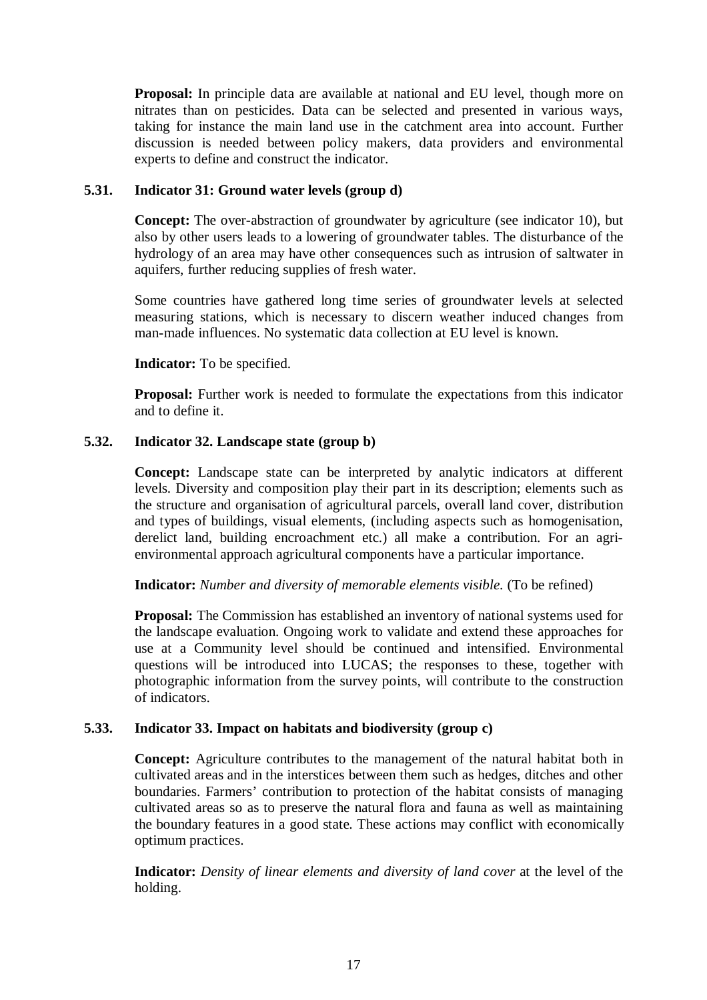**Proposal:** In principle data are available at national and EU level, though more on nitrates than on pesticides. Data can be selected and presented in various ways, taking for instance the main land use in the catchment area into account. Further discussion is needed between policy makers, data providers and environmental experts to define and construct the indicator.

## **5.31. Indicator 31: Ground water levels (group d)**

**Concept:** The over-abstraction of groundwater by agriculture (see indicator 10), but also by other users leads to a lowering of groundwater tables. The disturbance of the hydrology of an area may have other consequences such as intrusion of saltwater in aquifers, further reducing supplies of fresh water.

Some countries have gathered long time series of groundwater levels at selected measuring stations, which is necessary to discern weather induced changes from man-made influences. No systematic data collection at EU level is known.

## **Indicator:** To be specified.

**Proposal:** Further work is needed to formulate the expectations from this indicator and to define it.

## **5.32. Indicator 32. Landscape state (group b)**

**Concept:** Landscape state can be interpreted by analytic indicators at different levels. Diversity and composition play their part in its description; elements such as the structure and organisation of agricultural parcels, overall land cover, distribution and types of buildings, visual elements, (including aspects such as homogenisation, derelict land, building encroachment etc.) all make a contribution. For an agrienvironmental approach agricultural components have a particular importance.

**Indicator:** *Number and diversity of memorable elements visible.* (To be refined)

**Proposal:** The Commission has established an inventory of national systems used for the landscape evaluation. Ongoing work to validate and extend these approaches for use at a Community level should be continued and intensified. Environmental questions will be introduced into LUCAS; the responses to these, together with photographic information from the survey points, will contribute to the construction of indicators.

## **5.33. Indicator 33. Impact on habitats and biodiversity (group c)**

**Concept:** Agriculture contributes to the management of the natural habitat both in cultivated areas and in the interstices between them such as hedges, ditches and other boundaries. Farmers' contribution to protection of the habitat consists of managing cultivated areas so as to preserve the natural flora and fauna as well as maintaining the boundary features in a good state. These actions may conflict with economically optimum practices.

**Indicator:** *Density of linear elements and diversity of land cover* at the level of the holding.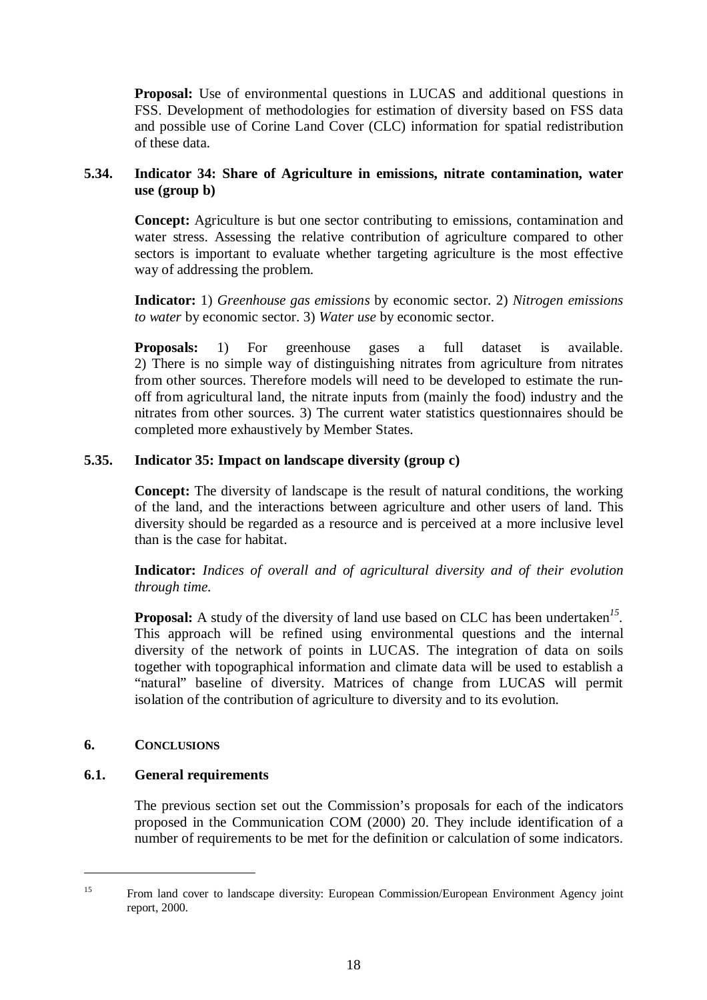**Proposal:** Use of environmental questions in LUCAS and additional questions in FSS. Development of methodologies for estimation of diversity based on FSS data and possible use of Corine Land Cover (CLC) information for spatial redistribution of these data.

# **5.34. Indicator 34: Share of Agriculture in emissions, nitrate contamination, water use (group b)**

**Concept:** Agriculture is but one sector contributing to emissions, contamination and water stress. Assessing the relative contribution of agriculture compared to other sectors is important to evaluate whether targeting agriculture is the most effective way of addressing the problem.

**Indicator:** 1) *Greenhouse gas emissions* by economic sector. 2) *Nitrogen emissions to water* by economic sector. 3) *Water use* by economic sector.

**Proposals:** 1) For greenhouse gases a full dataset is available. 2) There is no simple way of distinguishing nitrates from agriculture from nitrates from other sources. Therefore models will need to be developed to estimate the runoff from agricultural land, the nitrate inputs from (mainly the food) industry and the nitrates from other sources. 3) The current water statistics questionnaires should be completed more exhaustively by Member States.

## **5.35. Indicator 35: Impact on landscape diversity (group c)**

**Concept:** The diversity of landscape is the result of natural conditions, the working of the land, and the interactions between agriculture and other users of land. This diversity should be regarded as a resource and is perceived at a more inclusive level than is the case for habitat.

**Indicator:** *Indices of overall and of agricultural diversity and of their evolution through time.*

**Proposal:** A study of the diversity of land use based on CLC has been undertaken<sup>15</sup>. This approach will be refined using environmental questions and the internal diversity of the network of points in LUCAS. The integration of data on soils together with topographical information and climate data will be used to establish a "natural" baseline of diversity. Matrices of change from LUCAS will permit isolation of the contribution of agriculture to diversity and to its evolution.

## **6. CONCLUSIONS**

## **6.1. General requirements**

The previous section set out the Commission's proposals for each of the indicators proposed in the Communication COM (2000) 20. They include identification of a number of requirements to be met for the definition or calculation of some indicators.

<sup>&</sup>lt;sup>15</sup> From land cover to landscape diversity: European Commission/European Environment Agency joint report, 2000.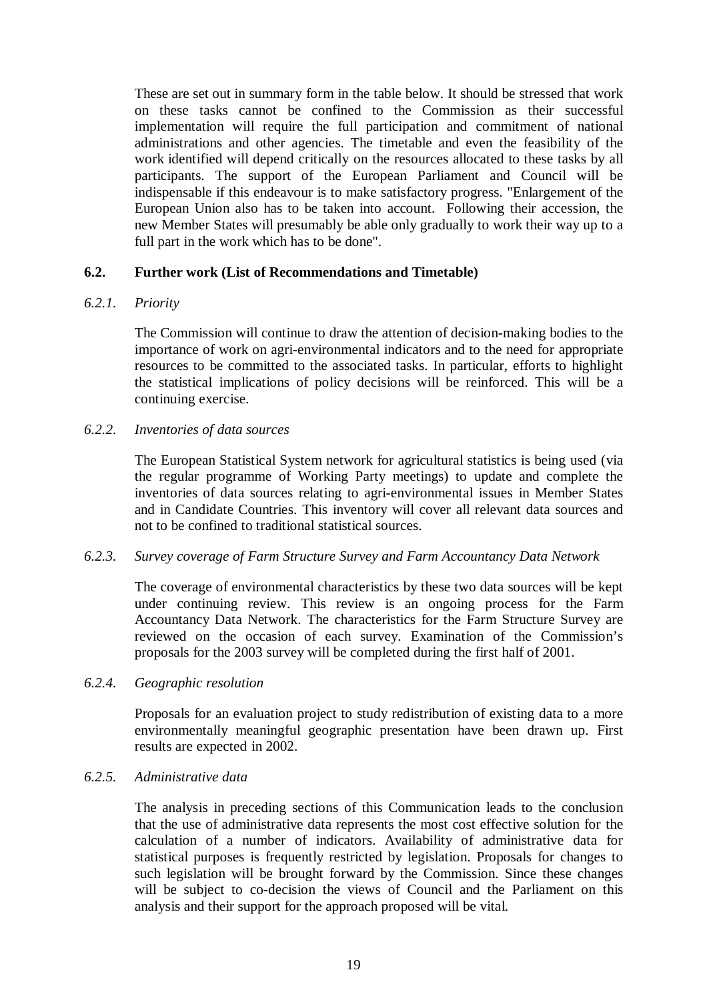These are set out in summary form in the table below. It should be stressed that work on these tasks cannot be confined to the Commission as their successful implementation will require the full participation and commitment of national administrations and other agencies. The timetable and even the feasibility of the work identified will depend critically on the resources allocated to these tasks by all participants. The support of the European Parliament and Council will be indispensable if this endeavour is to make satisfactory progress. "Enlargement of the European Union also has to be taken into account. Following their accession, the new Member States will presumably be able only gradually to work their way up to a full part in the work which has to be done".

### **6.2. Further work (List of Recommendations and Timetable)**

### *6.2.1. Priority*

The Commission will continue to draw the attention of decision-making bodies to the importance of work on agri-environmental indicators and to the need for appropriate resources to be committed to the associated tasks. In particular, efforts to highlight the statistical implications of policy decisions will be reinforced. This will be a continuing exercise.

## *6.2.2. Inventories of data sources*

The European Statistical System network for agricultural statistics is being used (via the regular programme of Working Party meetings) to update and complete the inventories of data sources relating to agri-environmental issues in Member States and in Candidate Countries. This inventory will cover all relevant data sources and not to be confined to traditional statistical sources.

### *6.2.3. Survey coverage of Farm Structure Survey and Farm Accountancy Data Network*

The coverage of environmental characteristics by these two data sources will be kept under continuing review. This review is an ongoing process for the Farm Accountancy Data Network. The characteristics for the Farm Structure Survey are reviewed on the occasion of each survey. Examination of the Commission's proposals for the 2003 survey will be completed during the first half of 2001.

### *6.2.4. Geographic resolution*

Proposals for an evaluation project to study redistribution of existing data to a more environmentally meaningful geographic presentation have been drawn up. First results are expected in 2002.

## *6.2.5. Administrative data*

The analysis in preceding sections of this Communication leads to the conclusion that the use of administrative data represents the most cost effective solution for the calculation of a number of indicators. Availability of administrative data for statistical purposes is frequently restricted by legislation. Proposals for changes to such legislation will be brought forward by the Commission. Since these changes will be subject to co-decision the views of Council and the Parliament on this analysis and their support for the approach proposed will be vital.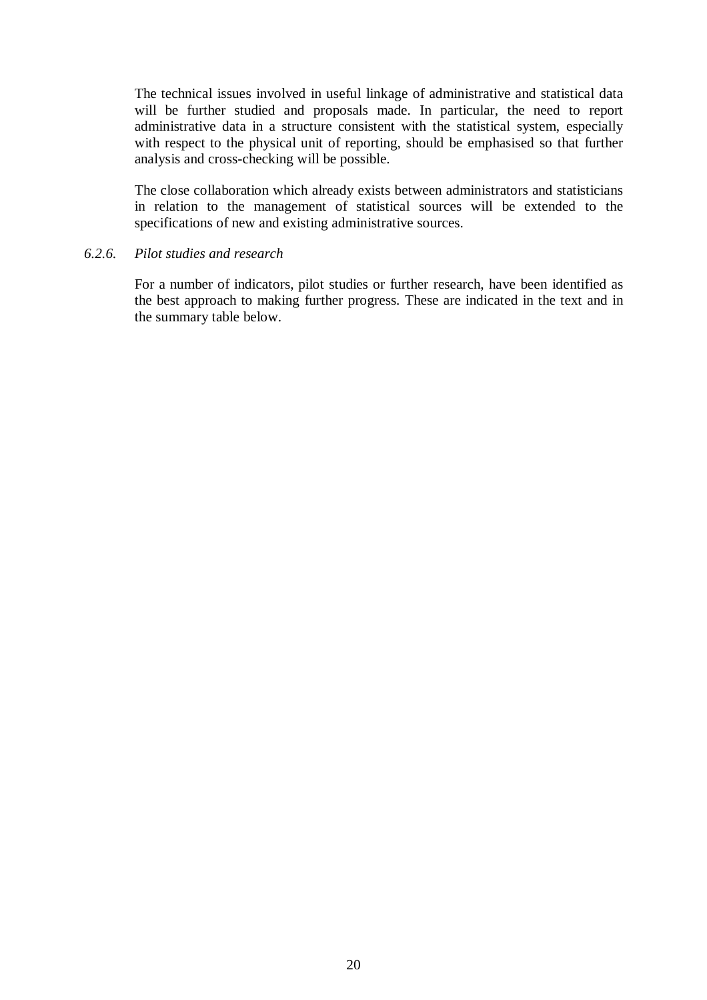The technical issues involved in useful linkage of administrative and statistical data will be further studied and proposals made. In particular, the need to report administrative data in a structure consistent with the statistical system, especially with respect to the physical unit of reporting, should be emphasised so that further analysis and cross-checking will be possible.

The close collaboration which already exists between administrators and statisticians in relation to the management of statistical sources will be extended to the specifications of new and existing administrative sources.

### *6.2.6. Pilot studies and research*

For a number of indicators, pilot studies or further research, have been identified as the best approach to making further progress. These are indicated in the text and in the summary table below.